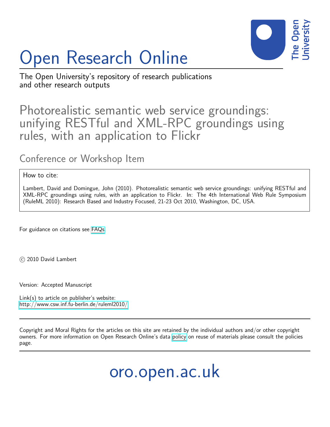

# Open Research Online

The Open University's repository of research publications and other research outputs

# Photorealistic semantic web service groundings: unifying RESTful and XML-RPC groundings using rules, with an application to Flickr

## Conference or Workshop Item

### How to cite:

Lambert, David and Domingue, John (2010). Photorealistic semantic web service groundings: unifying RESTful and XML-RPC groundings using rules, with an application to Flickr. In: The 4th International Web Rule Symposium (RuleML 2010): Research Based and Industry Focused, 21-23 Oct 2010, Washington, DC, USA.

For guidance on citations see [FAQs.](http://oro.open.ac.uk/help/helpfaq.html)

c 2010 David Lambert

Version: Accepted Manuscript

Link(s) to article on publisher's website: <http://www.csw.inf.fu-berlin.de/ruleml2010/>

Copyright and Moral Rights for the articles on this site are retained by the individual authors and/or other copyright owners. For more information on Open Research Online's data [policy](http://oro.open.ac.uk/policies.html) on reuse of materials please consult the policies page.

oro.open.ac.uk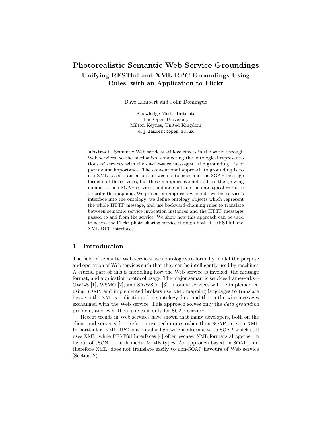## Photorealistic Semantic Web Service Groundings Unifying RESTful and XML-RPC Groundings Using Rules, with an Application to Flickr

Dave Lambert and John Domingue

Knowledge Media Institute The Open University Milton Keynes, United Kingdom d.j.lambert@open.ac.uk

Abstract. Semantic Web services achieve effects in the world through Web services, so the mechanism connecting the ontological representations of services with the on-the-wire messages—the grounding—is of paramount importance. The conventional approach to grounding is to use XML-based translations between ontologies and the SOAP message formats of the services, but these mappings cannot address the growing number of non-SOAP services, and step outside the ontological world to describe the mapping. We present an approach which draws the service's interface into the ontology: we define ontology objects which represent the whole HTTP message, and use backward-chaining rules to translate between semantic service invocation instances and the HTTP messages passed to and from the service. We show how this approach can be used to access the Flickr photo-sharing service through both its RESTful and XML-RPC interfaces.

#### 1 Introduction

The field of semantic Web services uses ontologies to formally model the purpose and operation of Web services such that they can be intelligently used by machines. A crucial part of this is modelling how the Web service is invoked: the message format, and application protocol usage. The major semantic services frameworks— OWL-S [\[1\]](#page-11-0), WSMO [\[2\]](#page-11-1), and SA-WSDL [\[3\]](#page-11-2)—assume services will be implemented using SOAP, and implemented brokers use XML mapping languages to translate between the XML serialisation of the ontology data and the on-the-wire messages exchanged with the Web service. This approach solves only the *data grounding* problem, and even then, solves it only for SOAP services.

Recent trends in Web services have shown that many developers, both on the client and server side, prefer to use techniques other than SOAP or even XML. In particular, XML-RPC is a popular lightweight alternative to SOAP which still uses XML, while RESTful interfaces [\[4\]](#page-11-3) often eschew XML formats altogether in favour of JSON, or multimedia MIME types. An approach based on SOAP, and therefore XML, does not translate easily to non-SOAP flavours of Web service (Section [2\)](#page-2-0).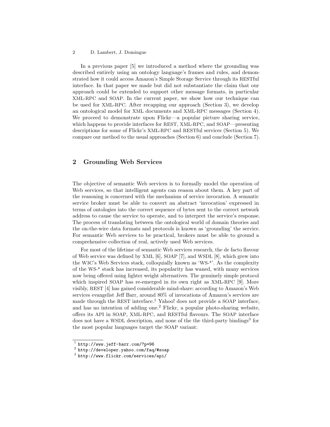In a previous paper [\[5\]](#page-11-4) we introduced a method where the grounding was described entirely using an ontology language's frames and rules, and demonstrated how it could access Amazon's Simple Storage Service through its RESTful interface. In that paper we made but did not substantiate the claim that our approach could be extended to support other message formats, in particular XML-RPC and SOAP. In the current paper, we show how our technique can be used for XML-RPC. After recapping our approach (Section [3\)](#page-3-0), we develop an ontological model for XML documents and XML-RPC messages (Section [4\)](#page-5-0). We proceed to demonstrate upon Flickr—a popular picture sharing service, which happens to provide interfaces for REST, XML-RPC, and SOAP—presenting descriptions for some of Flickr's XML-RPC and RESTful services (Section [5\)](#page-6-0). We compare our method to the usual approaches (Section [6\)](#page-9-0) and conclude (Section [7\)](#page-10-0).

#### <span id="page-2-0"></span>2 Grounding Web Services

The objective of semantic Web services is to formally model the operation of Web services, so that intelligent agents can reason about them. A key part of the reasoning is concerned with the mechanism of service invocation. A semantic service broker must be able to convert an abstract 'invocation' expressed in terms of ontologies into the correct sequence of bytes sent to the correct network address to cause the service to operate, and to interpret the service's response. The process of translating between the ontological world of domain theories and the on-the-wire data formats and protocols is known as 'grounding' the service. For semantic Web services to be practical, brokers must be able to ground a comprehensive collection of real, actively used Web services.

For most of the lifetime of semantic Web services research, the de facto flavour of Web service was defined by XML [\[6\]](#page-11-5), SOAP [\[7\]](#page-11-6), and WSDL [\[8\]](#page-11-7), which grew into the W3C's Web Services stack, colloquially known as 'WS-\*'. As the complexity of the WS-\* stack has increased, its popularity has waned, with many services now being offered using lighter weight alternatives. The genuinely simple protocol which inspired SOAP has re-emerged in its own right as XML-RPC [\[9\]](#page-11-8). More visibly, REST [\[4\]](#page-11-3) has gained considerable mind-share: according to Amazon's Web services evangelist Jeff Barr, around 80% of invocations of Amazon's services are made through the REST interface.<sup>[1](#page-2-1)</sup> Yahoo! does not provide a SOAP interface, and has no intention of adding one.[2](#page-2-2) Flickr, a popular photo-sharing website, offers its API in SOAP, XML-RPC, and RESTful flavours. The SOAP interface does not have a WSDL description, and none of the the third-party bindings<sup>[3](#page-2-3)</sup> for the most popular languages target the SOAP variant:

<span id="page-2-1"></span><sup>1</sup> <http://www.jeff-barr.com/?p=96>

<span id="page-2-2"></span> $^{\rm 2}$  <http://developer.yahoo.com/faq/#soap>

<span id="page-2-3"></span> $^3$  <http://www.flickr.com/services/api/>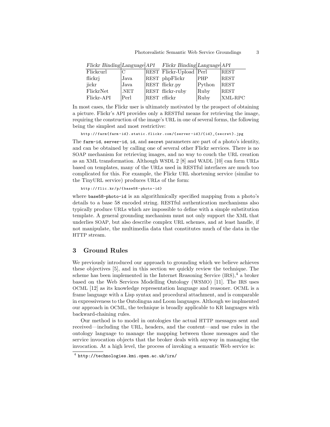|            |             | Flickr Binding Language API Flickr Binding Language API |        |             |
|------------|-------------|---------------------------------------------------------|--------|-------------|
| Flickcurl  | C           | REST Flickr-Upload Perl                                 |        | REST        |
| flickrj    | Java        | REST phpFlickr                                          | PHP    | <b>REST</b> |
| jickr      | Java        | REST flickr.py                                          | Python | <b>REST</b> |
| FlickrNet  | <b>LNET</b> | REST flickr-ruby                                        | Ruby   | <b>REST</b> |
| Flickr-API | Perl        | REST rflickr                                            | Ruby   | XML-RPC     |

In most cases, the Flickr user is ultimately motivated by the prospect of obtaining a picture. Flickr's API provides only a RESTful means for retrieving the image, requiring the construction of the image's URL in one of several forms, the following being the simplest and most restrictive:

http :// farm { farm - id }. static . flickr . com /{ server - id }/{ id }\_{ secret }. jpg

The farm-id, server-id, id, and secret parameters are part of a photo's identity, and can be obtained by calling one of several other Flickr services. There is no SOAP mechanism for retrieving images, and no way to couch the URL creation as an XML transformation. Although WSDL 2 [\[8\]](#page-11-7) and WADL [\[10\]](#page-11-9) can form URLs based on templates, many of the URLs used in RESTful interfaces are much too complicated for this. For example, the Flickr URL shortening service (similar to the TinyURL service) produces URLs of the form:

```
http://flic.kr/p/{base58-photo-id}
```
where base<sup>58-photo-id is an algorithmically specified mapping from a photo's</sup> details to a base 58 encoded string. RESTful authentication mechanisms also typically produce URLs which are impossible to define with a simple substitution template. A general grounding mechanism must not only support the XML that underlies SOAP, but also describe complex URL schemes, and at least handle, if not manipulate, the multimedia data that constitutes much of the data in the HTTP stream.

#### <span id="page-3-0"></span>3 Ground Rules

We previously introduced our approach to grounding which we believe achieves these objectives [\[5\]](#page-11-4), and in this section we quickly review the technique. The scheme has been implemented in the Internet Reasoning Service  $(IRS)$ ,  $4$  a broker based on the Web Services Modelling Ontology (WSMO) [\[11\]](#page-11-10). The IRS uses OCML [\[12\]](#page-11-11) as its knowledge representation language and reasoner. OCML is a frame language with a Lisp syntax and procedural attachment, and is comparable in expressiveness to the Ontolingua and Loom languages. Although we implmented our approach in OCML, the technique is broadly applicable to KR languages with backward-chaining rules.

Our method is to model in ontologies the actual HTTP messages sent and received—including the URL, headers, and the content—and use rules in the ontology language to manage the mapping between those messages and the service invocation objects that the broker deals with anyway in managing the invocation. At a high level, the process of invoking a semantic Web service is:

<span id="page-3-1"></span><sup>4</sup> <http://technologies.kmi.open.ac.uk/irs/>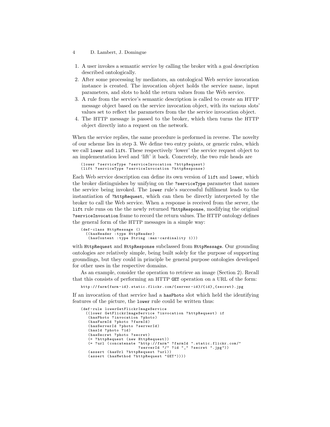- 1. A user invokes a semantic service by calling the broker with a goal description described ontologically.
- 2. After some processing by mediators, an ontological Web service invocation instance is created. The invocation object holds the service name, input parameters, and slots to hold the return values from the Web service.
- <span id="page-4-0"></span>3. A rule from the service's semantic description is called to create an HTTP message object based on the service invocation object, with its various slots' values set to reflect the parameters from the the service invocation object.
- 4. The HTTP message is passed to the broker, which then turns the HTTP object directly into a request on the network.

When the service replies, the same procedure is preformed in reverse. The novelty of our scheme lies in step [3.](#page-4-0) We define two entry points, or generic rules, which we call lower and lift. These respectively 'lower' the service request object to an implementation level and 'lift' it back. Concretely, the two rule heads are

```
( lower ? serviceType ? serviceInvocation ? httpRequest )
( lift ? serviceType ? serviceInvocation ? httpResponse )
```
Each Web service description can define its own version of lift and lower, which the broker distinguishes by unifying on the ?serviceType parameter that names the service being invoked. The lower rule's successful fulfilment leads to the instantiation of ?httpRequest, which can then be directly interpreted by the broker to call the Web service. When a response is received from the server, the lift rule runs on the the newly returned ?httpResponse, modifying the original ?serviceInvocation frame to record the return values. The HTTP ontology defines the general form of the HTTP messages in a simple way:

```
( def - class HttpMessage ()
   (( hasHeader : type HttpHeader )
( hasContent : type String : max - cardinality 1)))
```
with HttpRequest and HttpResponse subclassed from HttpMessage. Our grounding ontologies are relatively simple, being built solely for the purpose of supporting groundings, but they could in principle be general purpose ontologies developed for other uses in the respective domains.

As an example, consider the operation to retrieve an image (Section [2\)](#page-2-0). Recall that this consists of performing an HTTP GET operation on a URL of the form:

http :// farm { farm - id }. static . flickr . com /{ server - id }/{ id }\_{ secret }. jpg

If an invocation of that service had a hasPhoto slot which held the identifying features of the picture, the lower rule could be written thus:

```
( def - rule lowerGetFlickrImageService
  ((lower GetFlickrImageService ?invocation ?httpRequest) if
   ( hasPhoto ? invocation ? photo )
   (hasFarmId ?photo ?farmId)
   ( hasServerId ? photo ? serverId )
   (hasId ?photo ?id)
   ( hasSecret ? photo ? secret )
   (= ? httpRequest ( new HttpRequest ))
   (= ? url ( concatenate " http :// farm " ? farmId ". static . flickr . com /"
                          ? serverId "/" ? id "_" ? secret ". jpg "))
   ( assert ( hasUrl ? httpRequest ? url ))
   ( assert ( hasMethod ? httpRequest " GET "))))
```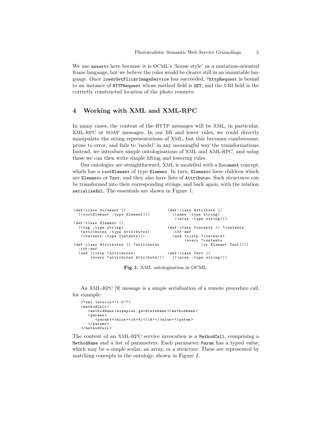We use asserts here because it is OCML's 'house style' as a mutation-oriented frame language, but we believe the rules would be clearer still in an immutable language. Once lowerGetFlickrImageService has succeeded, ?httpRequest is bound to an instance of HTTPRequest whose method field is GET, and the URI field is the correctly constructed location of the photo resource.

#### <span id="page-5-0"></span>4 Working with XML and XML-RPC

In many cases, the content of the HTTP messages will be XML, in particular, XML-RPC or SOAP messages. In our lift and lower rules, we could directly manipulate the string representations of XML, but this becomes cumbersome, prone to error, and fails to 'model' in any meaningful way the transformations. Instead, we introduce simple ontologisations of XML and XML-RPC, and using these we can then write simple lifting and lowering rules.

Our ontologies are straightforward. XML is modelled with a Document concept, which has a rootElement of type Element. In turn, Elements have children which are Elements or Text, and they also have lists of Attributes. Such structures can be transformed into their corresponding strings, and back again, with the relation serialiseXml. The essentials are shown in Figure [1.](#page-5-1)

```
( def - class Document ()
  (( rootElement : type Element )))
( def - class Element ()
  ((tag : type string)
   ( attributes : type Attributes )
   ( contents : type Contents )))
( def - class Attributes () ? attributes
  : iff - def
  ( and ( listp ? attributes )
        (every ?attributes Attribute))) ((value :type string)))
                                            ( def - class Attribute ()
                                              (( name : type string )
                                               ( value : type string )))
                                            ( def - class Contents () ? contents
                                             : iff - def
                                              ( and ( listp ? contents )
                                                    ( every ? contents
                                                            ( or Element Text ))))
                                            ( def - class Text ()
```
<span id="page-5-1"></span>Fig. 1. XML ontologisation in OCML.

An XML-RPC [\[9\]](#page-11-8) message is a simple serialisation of a remote procedure call, for example:

```
<? xml version ="1.0"? >
< methodCall >
   < methodName > examples . getStateName </ methodName >
   < params >
       < param >< value >< i4 >41 </ i4 > </ value > </ param >
   </ params >
</ methodCall >
```
The content of an XML-RPC service invocation is a MethodCall, comprising a MethodName and a list of parameters. Each parameter Param has a typed value, which may be a simple scalar, an array, or a structure. These are represented by matching concepts in the ontology, shown in Figure [2.](#page-6-1)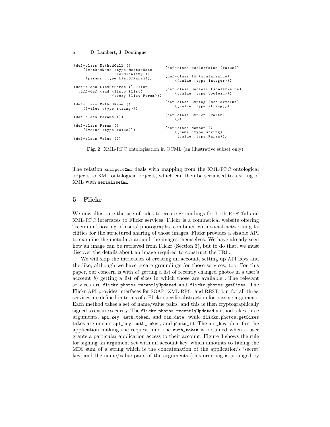```
6 D. Lambert, J. Domingue
```

```
( def - class MethodCall ()
    (( methodName : type MethodName
                   : cardinality 1)
     ( params : type ListOfParam )))
(def-class ListOfParam () ?list
  : iff - def ( and ( listp ? list )
( every ? list Param )))
( def - class MethodName ()
    (( value : type string )))
( def - class Params ( ) )
( def - class Param ()
    (( value : type Value )))
( def - class Value ())
                                              ( def - class scalarValue ( Value ))
                                              ( def - class I4 ( scalarValue )
                                                  (( value : type integer )))
                                              ( def - class Boolean ( scalarValue )
                                                   (( value : type boolean )))
                                              ( def - class String ( scalarValue )
                                                  (( value : type string )))
                                              ( def - class Struct ( Param )
                                                  ())
                                              ( def - class Member ()
                                                  (( name : type string )
                                                    ( value : type Param )))
```
<span id="page-6-1"></span>Fig. 2. XML-RPC ontologisation in OCML (an illustrative subset only).

The relation xmlrpcToXml deals with mapping from the XML-RPC ontological objects to XML ontological objects, which can then be serialised to a string of XML with serialiseXml.

#### <span id="page-6-0"></span>5 Flickr

We now illustrate the use of rules to create groundings for both RESTful and XML-RPC interfaces to Flickr services. Flickr is a commerical website offering 'freemium' hosting of users' photographs, combined with social-networking facilities for the structured sharing of those images. Flickr provides a sizable API to examine the metadata around the images themselves. We have already seen how an image can be retrieved from Flickr (Section [3\)](#page-3-0), but to do that, we must discover the details about an image required to construct the URL.

We will skip the intricacies of creating an account, setting up API keys and the like, although we have create groundings for those services, too. For this paper, our concern is with a) getting a list of recently changed photos in a user's account  $b$ ) getting a list of sizes in which those are available. The relevant services are flickr.photos.recentlyUpdated and flickr.photos.getSizes. The Flickr API provides interfaces for SOAP, XML-RPC, and REST, but for all three, services are defined in terms of a Flickr-specific abstraction for passing arguments. Each method takes a set of name/value pairs, and this is then cryptographically signed to ensure security. The flickr.photos.recentlyUpdated method takes three arguments, api\_key, auth\_token, and min\_date, while flickr.photos.getSizes takes arguments api\_key, auth\_token, and photo\_id. The api\_key identifies the application making the request, and the auth\_token is obtained when a user grants a particular application access to their account. Figure [3](#page-7-0) shows the rule for signing an argument set with an account key, which amounts to taking the MD5 sum of a string which is the concatenation of the application's 'secret' key, and the name/value pairs of the arguments (this ordering is arranged by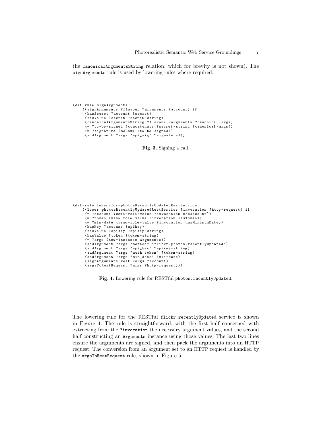the canonicalArgumentsString relation, which for brevity is not shown). The signArguments rule is used by lowering rules where required.

```
( def - rule signArguments
    (( signArguments ? flavour ? arguments ? account ) if
      ( hasSecret ? account ? secret )
     ( hasValue ? secret ? secret - string )
     ( canonicalArgumentsString ? flavour ? arguments ? canonical - args )
     (= ? to -be - signed ( concatenate ? secret - string ? canonical - args ))
     (= ? signature ( md5sum ?to -be - signed ))
     (addArgument ?args "api_sig" ?signature)))
```
<span id="page-7-0"></span>Fig. 3. Signing a call.

```
( def - rule lower - for - photosRecentlyUpdatedRestService
     (( lower photosRecentlyUpdatedRestService ? invocation ? http - request ) if
      (= ? account ( wsmo - role - value ? invocation hasAccount ))
      (= ? token ( wsmo - role - value ? invocation hasToken ))
      (= ? min - date ( wsmo - role - value ? invocation hasMinimumDate ))
      ( hasKey ? account ? apikey )
       ( hasValue ? apikey ? apikey - string )
( hasValue ? token ? token - string )
       (= ? args ( new - instance Arguments ))
( addArgument ? args " method " " flickr . photos . recentlyUpdated ")
      ( addArgument ? args " api_key " ? apikey - string )
      ( addArgument ? args " auth_token " ? token - string )
      (addArgument ?args "min_date" ?min-date)
       ( signArguments rest ? args ? account )
( argsToRestRequest ? args ? http - request )))
```
<span id="page-7-1"></span>Fig. 4. Lowering rule for RESTful photos.recentlyUpdated.

The lowering rule for the RESTful flickr.recentlyUpdated service is shown in Figure [4.](#page-7-1) The rule is straightforward, with the first half concerned with extracting from the ?invocation the necessary argument values, and the second half constructing an Arguments instance using those values. The last two lines ensure the arguments are signed, and then pack the arguments into an HTTP request. The conversion from an argument set to an HTTP request is handled by the argsToRestRequest rule, shown in Figure [5.](#page-8-0)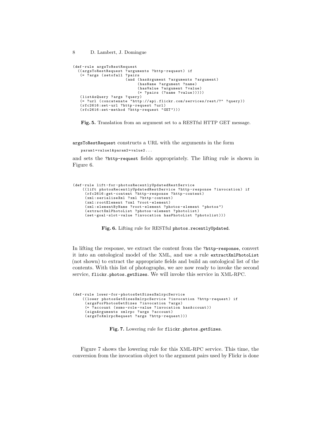```
( def - rule argsToRestRequest
  (( argsToRestRequest ? arguments ? http - request ) if
   (= ? args ( setofall ? pairs
                         ( and ( hasArgument ? arguments ? argument )
                               ( hasName ? argument ? name )
                                ( hasValue ? argument ? value )
                                ( = ? pairs (? name ? value ))))( listAsQuery ? args ? query )
   (= ? url ( concatenate " http :// api . flickr . com / services / rest /?" ? query ))
   ( rfc2616 : set - url ? http - request ? url )
   ( rfc2616 : set - method ? http - request " GET ")))
```
<span id="page-8-0"></span>

argsToRestRequest constructs a URL with the arguments in the form

param1 = value1 & param2 = value2 ...

and sets the ?http-request fields appropriately. The lifting rule is shown in Figure [6.](#page-8-1)

```
( def - rule lift - for - photosRecentlyUpdatedRestService
     (( lift photosRecentlyUpdatedRestService ? http - response ? invocation ) if
      ( rfc2616 : get - content ? http - response ? http - content )
      ( xml : serialiseXml ? xml ? http - content )
      ( xml : rootElement ? xml ? root - element )
      ( xml : elementByName ? root - element ? photos - element " photos ")
      ( extractXmlPhotoList ? photos - element ? photolist )
( set - goal - slot - value ? invocation hasPhotoList ? photolist )))
```
<span id="page-8-1"></span>

In lifting the response, we extract the content from the ?http-response, convert it into an ontological model of the XML, and use a rule extractXmlPhotoList (not shown) to extract the appropriate fields and build an ontological list of the contents. With this list of photographs, we are now ready to invoke the second service, flickr.photos.getSizes. We will invoke this service in XML-RPC.

```
( def - rule lower - for - photosGetSizesXmlrpcService
    (( lower photosGetSizesXmlrpcService ? invocation ? http - request ) if
     ( argsForPhotosGetSizes ? invocation ? args )
     (= ? account ( wsmo - role - value ? invocation hasAccount ))
     ( signArguments xmlrpc ? args ? account )
     ( argsToXmlrpcRequest ? args ? http - request )))
```
<span id="page-8-2"></span>Fig. 7. Lowering rule for flickr.photos.getSizes.

Figure [7](#page-8-2) shows the lowering rule for this XML-RPC service. This time, the conversion from the invocation object to the argument pairs used by Flickr is done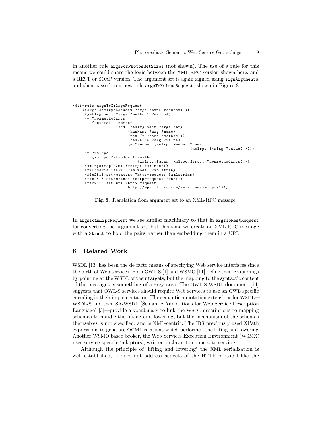in another rule argsForPhotosGetSizes (not shown). The use of a rule for this means we could share the logic between the XML-RPC version shown here, and a REST or SOAP version. The argument set is again signed using signArguments, and then passed to a new rule argsToXmlrpcRequest, shown in Figure [8.](#page-9-1)

```
( def - rule argsToXmlrpcRequest
     (( argsToXmlrpcRequest ? args ? http - request ) if
      ( getArgument ? args " method" ? method)
      (= ? nonmethodargs
         ( setofall ? member
                      ( and ( hasArgument ? args ? arg )
                            ( hasName ? arg ? name )
( not (= ? name " method "))
                            ( hasValue ? arg ? value )
                            (= ? member ( xmlrpc : Member ? name
                                                            ( xmlrpc : String ? value ))))))
      (= ? xmlrpc
         ( xmlrpc : MethodCall ? method
                                 ( xmlrpc : Param ( xmlrpc : Struct ? nonmethodargs ))))
      ( xmlrpc : mapToXml ? xmlrpc ? xmlmodel )
      ( xml : serialiseXml ? xmlmodel ? xmlstring )
      ( rfc2616 : set - content ? http - request ? xmlstring )
      ( rfc2616 : set - method ? http - request " POST ")
      ( rfc2616 : set - url ? http - request
                           " http :// api . flickr . com / services / xmlrpc /")))
```
<span id="page-9-1"></span>Fig. 8. Translation from argument set to an XML-RPC message.

In argsToXmlrpcRequest we see similar machinary to that in argsToRestRequest for converting the argument set, but this time we create an XML-RPC message with a **Struct** to hold the pairs, rather than embedding them in a URL.

#### <span id="page-9-0"></span>6 Related Work

WSDL [\[13\]](#page-11-12) has been the de facto means of specifying Web service interfaces since the birth of Web services. Both OWL-S [\[1\]](#page-11-0) and WSMO [\[11\]](#page-11-10) define their groundings by pointing at the WSDL of their targets, but the mapping to the syntactic content of the messages is something of a grey area. The OWL-S WSDL document [\[14\]](#page-11-13) suggests that OWL-S services should require Web services to use an OWL specific encoding in their implementation. The semantic annotation extensions for WSDL— WSDL-S and then SA-WSDL (Semantic Annotations for Web Service Description Language) [\[3\]](#page-11-2)—provide a vocabulary to link the WSDL descriptions to mapping schemas to handle the lifting and lowering, but the mechanism of the schemas themselves is not specified, and is XML-centric. The IRS previously used XPath expressions to generate OCML relations which performed the lifting and lowering. Another WSMO based broker, the Web Services Execution Environment (WSMX) uses service-specific 'adaptors', written in Java, to connect to services.

Although the principle of 'lifting and lowering' the XML serialisation is well established, it does not address aspects of the HTTP protocol like the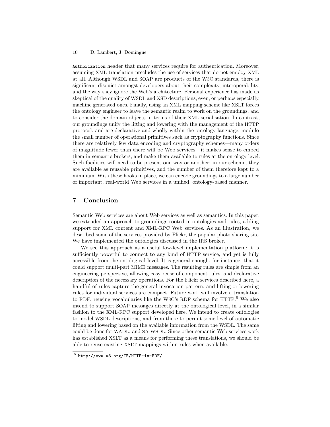Authorization header that many services require for authentication. Moreover, assuming XML translation precludes the use of services that do not employ XML at all. Although WSDL and SOAP are products of the W3C standards, there is significant disquiet amongst developers about their complexity, interoperability, and the way they ignore the Web's architecture. Personal experience has made us skeptical of the quality of WSDL and XSD descriptions, even, or perhaps especially, machine generated ones. Finally, using an XML mapping scheme like XSLT forces the ontology engineer to leave the semantic realm to work on the groundings, and to consider the domain objects in terms of their XML serialisation. In contrast, our groundings unify the lifting and lowering with the management of the HTTP protocol, and are declarative and wholly within the ontology language, modulo the small number of operational primitives such as cryptography functions. Since there are relatively few data encoding and cryptography schemes—many orders of magnitude fewer than there will be Web services—it makes sense to embed them in semantic brokers, and make them available to rules at the ontology level. Such facilities will need to be present one way or another: in our scheme, they are available as reusable primitives, and the number of them therefore kept to a minimum. With these hooks in place, we can encode groundings to a large number of important, real-world Web services in a unified, ontology-based manner.

#### <span id="page-10-0"></span>7 Conclusion

Semantic Web services are about Web services as well as semantics. In this paper, we extended an approach to groundings rooted in ontologies and rules, adding support for XML content and XML-RPC Web services. As an illustration, we described some of the services provided by Flickr, the popular photo sharing site. We have implemented the ontologies discussed in the IRS broker.

We see this approach as a useful low-level implementation platform: it is sufficiently powerful to connect to any kind of HTTP service, and yet is fully accessible from the ontological level. It is general enough, for instance, that it could support multi-part MIME messages. The resulting rules are simple from an engineering perspective, allowing easy reuse of component rules, and declarative description of the necessary operations. For the Flickr services described here, a handful of rules capture the general invocation pattern, and lifting or lowering rules for individual services are compact. Future work will involve a translation to RDF, reusing vocabularies like the W3C's RDF schema for HTTP.<sup>[5](#page-10-1)</sup> We also intend to support SOAP messages directly at the ontological level, in a similar fashion to the XML-RPC support developed here. We intend to create ontologies to model WSDL descriptions, and from there to permit some level of automatic lifting and lowering based on the available information from the WSDL. The same could be done for WADL, and SA-WSDL. Since other semantic Web services work has established XSLT as a means for performing these translations, we should be able to reuse existing XSLT mappings within rules when available.

<span id="page-10-1"></span><sup>5</sup> <http://www.w3.org/TR/HTTP-in-RDF/>